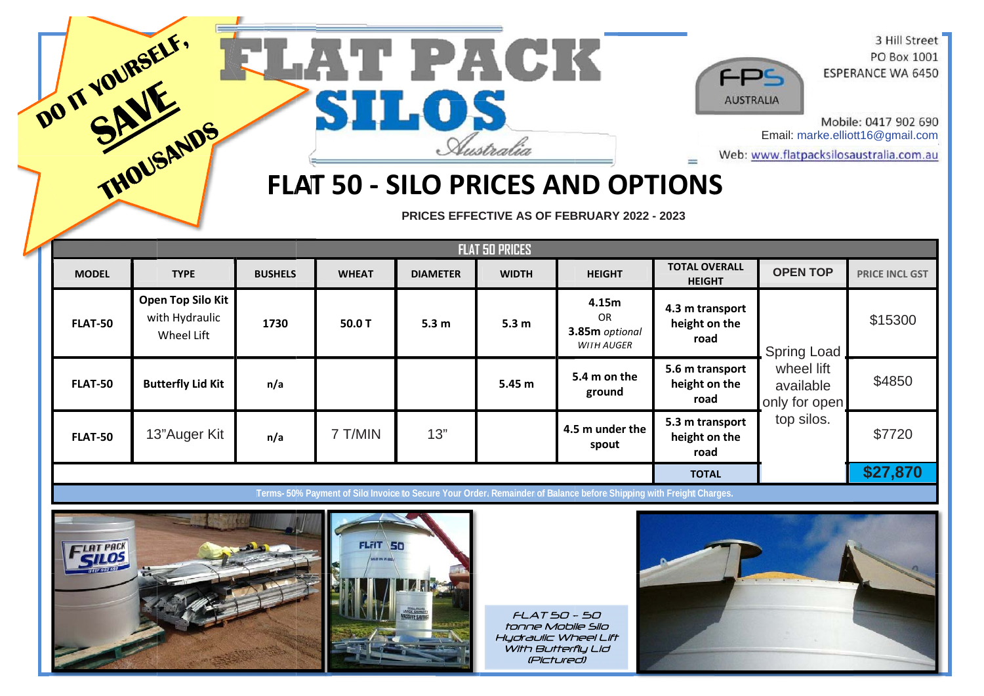

## **T 50 - SILO PRICES AND OPTIONS**

PRICES EFFECTIVE AS OF FEBRUARY 2022 - 2023

|                |                                                   |                |              |                  | <b>FLAT 50 PRICES</b> |                                                                                                                     |                                          |                                                                |                       |
|----------------|---------------------------------------------------|----------------|--------------|------------------|-----------------------|---------------------------------------------------------------------------------------------------------------------|------------------------------------------|----------------------------------------------------------------|-----------------------|
| <b>MODEL</b>   | <b>TYPE</b>                                       | <b>BUSHELS</b> | <b>WHEAT</b> | <b>DIAMETER</b>  | <b>WIDTH</b>          | <b>HEIGHT</b>                                                                                                       | <b>TOTAL OVERALL</b><br><b>HEIGHT</b>    | <b>OPEN TOP</b>                                                | <b>PRICE INCL GST</b> |
| <b>FLAT-50</b> | Open Top Silo Kit<br>with Hydraulic<br>Wheel Lift | 1730           | 50.0 T       | 5.3 <sub>m</sub> | 5.3 <sub>m</sub>      | 4.15m<br>OR.<br>3.85m optional<br><b>WITH AUGER</b>                                                                 | 4.3 m transport<br>height on the<br>road | <b>Spring Load</b><br>wheel lift<br>available<br>only for open | \$15300               |
| <b>FLAT-50</b> | <b>Butterfly Lid Kit</b>                          | n/a            |              |                  | 5.45 <sub>m</sub>     | 5.4 m on the<br>ground                                                                                              | 5.6 m transport<br>height on the<br>road |                                                                | \$4850                |
| <b>FLAT-50</b> | 13"Auger Kit                                      | n/a            | 7 T/MIN      | 13"              |                       | 4.5 m under the<br>spout                                                                                            | 5.3 m transport<br>height on the<br>road | top silos.                                                     | \$7720                |
|                |                                                   |                |              |                  |                       |                                                                                                                     | <b>TOTAL</b>                             |                                                                | \$27,870              |
|                |                                                   |                |              |                  |                       | Terms- 50% Payment of Silo Invoice to Secure Your Order. Remainder of Balance before Shipping with Freight Charges. |                                          |                                                                |                       |



 HydraulicWh heel Lift (Pictured) With Butterfly Lid FLAT 50 - 50<br>tonne Mobile Silo  $F A T 50 - 50$